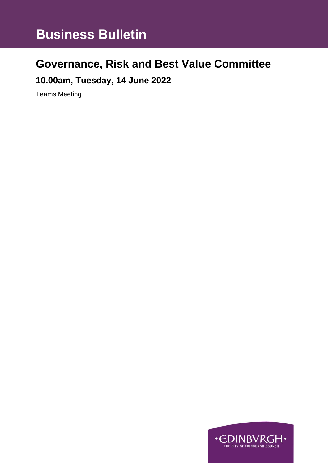# **Governance, Risk and Best Value Committee**

**10.00am, Tuesday, 14 June 2022**

Teams Meeting

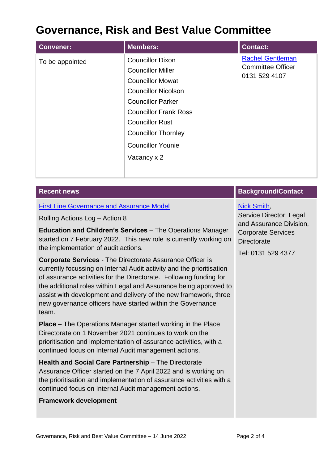# **Governance, Risk and Best Value Committee**

| <b>Convener:</b> | <b>Members:</b>                                                                                                                                                                                                                                                             | <b>Contact:</b>                                                      |
|------------------|-----------------------------------------------------------------------------------------------------------------------------------------------------------------------------------------------------------------------------------------------------------------------------|----------------------------------------------------------------------|
| To be appointed  | <b>Councillor Dixon</b><br><b>Councillor Miller</b><br><b>Councillor Mowat</b><br><b>Councillor Nicolson</b><br><b>Councillor Parker</b><br><b>Councillor Frank Ross</b><br><b>Councillor Rust</b><br><b>Councillor Thornley</b><br><b>Councillor Younie</b><br>Vacancy x 2 | <b>Rachel Gentleman</b><br><b>Committee Officer</b><br>0131 529 4107 |
|                  |                                                                                                                                                                                                                                                                             |                                                                      |

| <b>Recent news</b>                                                                                                                                                                                                                                                                                                                                                                                                                                                                                                                                                                                                        | <b>Background/Contact</b>                                                                                                                         |
|---------------------------------------------------------------------------------------------------------------------------------------------------------------------------------------------------------------------------------------------------------------------------------------------------------------------------------------------------------------------------------------------------------------------------------------------------------------------------------------------------------------------------------------------------------------------------------------------------------------------------|---------------------------------------------------------------------------------------------------------------------------------------------------|
| <b>First Line Governance and Assurance Model</b><br>Rolling Actions Log - Action 8<br>Education and Children's Services - The Operations Manager<br>started on 7 February 2022. This new role is currently working on<br>the implementation of audit actions.<br><b>Corporate Services - The Directorate Assurance Officer is</b><br>currently focussing on Internal Audit activity and the prioritisation<br>of assurance activities for the Directorate. Following funding for<br>the additional roles within Legal and Assurance being approved to<br>assist with development and delivery of the new framework, three | <b>Nick Smith,</b><br>Service Director: Legal<br>and Assurance Division,<br><b>Corporate Services</b><br><b>Directorate</b><br>Tel: 0131 529 4377 |
| new governance officers have started within the Governance<br>team.<br><b>Place</b> – The Operations Manager started working in the Place<br>Directorate on 1 November 2021 continues to work on the<br>prioritisation and implementation of assurance activities, with a                                                                                                                                                                                                                                                                                                                                                 |                                                                                                                                                   |
| continued focus on Internal Audit management actions.<br>Health and Social Care Partnership - The Directorate<br>Assurance Officer started on the 7 April 2022 and is working on<br>the prioritisation and implementation of assurance activities with a<br>continued focus on Internal Audit management actions.                                                                                                                                                                                                                                                                                                         |                                                                                                                                                   |

## **Framework development**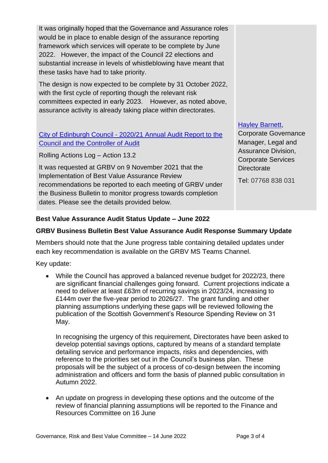It was originally hoped that the Governance and Assurance roles would be in place to enable design of the assurance reporting framework which services will operate to be complete by June 2022. However, the impact of the Council 22 elections and substantial increase in levels of whistleblowing have meant that these tasks have had to take priority.

The design is now expected to be complete by 31 October 2022, with the first cycle of reporting though the relevant risk committees expected in early 2023. However, as noted above, assurance activity is already taking place within directorates.

#### City of Edinburgh Council - [2020/21 Annual Audit Report to the](https://democracy.edinburgh.gov.uk/ieListDocuments.aspx?CId=138&MId=6132&Ver=4)  [Council and the Controller of Audit](https://democracy.edinburgh.gov.uk/ieListDocuments.aspx?CId=138&MId=6132&Ver=4)

Rolling Actions Log – Action 13.2

It was requested at GRBV on 9 November 2021 that the Implementation of Best Value Assurance Review recommendations be reported to each meeting of GRBV under the Business Bulletin to monitor progress towards completion dates. Please see the details provided below.

#### [Hayley Barnett,](mailto:hayley.barnett@edinburgh.gov.uk)

Corporate Governance Manager, Legal and Assurance Division, Corporate Services **Directorate** 

Tel: 07768 838 031

### **Best Value Assurance Audit Status Update – June 2022**

### **GRBV Business Bulletin Best Value Assurance Audit Response Summary Update**

Members should note that the June progress table containing detailed updates under each key recommendation is available on the GRBV MS Teams Channel.

Key update:

• While the Council has approved a balanced revenue budget for 2022/23, there are significant financial challenges going forward. Current projections indicate a need to deliver at least £63m of recurring savings in 2023/24, increasing to £144m over the five-year period to 2026/27. The grant funding and other planning assumptions underlying these gaps will be reviewed following the publication of the Scottish Government's Resource Spending Review on 31 May.

In recognising the urgency of this requirement, Directorates have been asked to develop potential savings options, captured by means of a standard template detailing service and performance impacts, risks and dependencies, with reference to the priorities set out in the Council's business plan. These proposals will be the subject of a process of co-design between the incoming administration and officers and form the basis of planned public consultation in Autumn 2022.

• An update on progress in developing these options and the outcome of the review of financial planning assumptions will be reported to the Finance and Resources Committee on 16 June